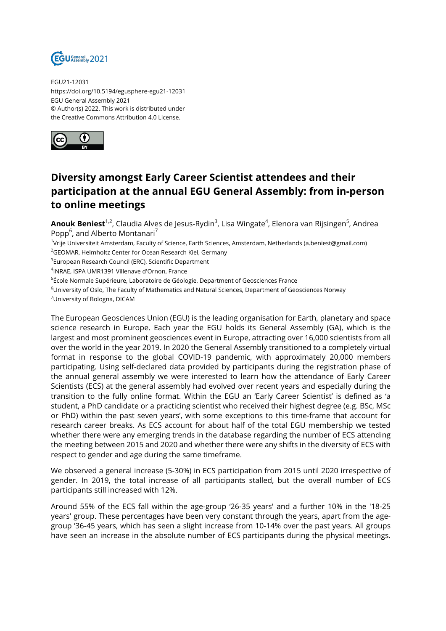

EGU21-12031 https://doi.org/10.5194/egusphere-egu21-12031 EGU General Assembly 2021 © Author(s) 2022. This work is distributed under the Creative Commons Attribution 4.0 License.



## **Diversity amongst Early Career Scientist attendees and their participation at the annual EGU General Assembly: from in-person to online meetings**

**Anouk Beniest**<sup>1,2</sup>, Claudia Alves de Jesus-Rydin<sup>3</sup>, Lisa Wingate<sup>4</sup>, Elenora van Rijsingen<sup>5</sup>, Andrea Popp<sup>6</sup>, and Alberto Montanari<sup>7</sup>

1 Vrije Universiteit Amsterdam, Faculty of Science, Earth Sciences, Amsterdam, Netherlands (a.beniest@gmail.com) <sup>2</sup>GEOMAR, Helmholtz Center for Ocean Research Kiel, Germany

<sup>3</sup>European Research Council (ERC), Scientific Department

4 INRAE, ISPA UMR1391 Villenave d'Ornon, France

<sup>5</sup>École Normale Supérieure, Laboratoire de Géologie, Department of Geosciences France

<sup>6</sup>University of Oslo, The Faculty of Mathematics and Natural Sciences, Department of Geosciences Norway

<sup>7</sup>University of Bologna, DICAM

The European Geosciences Union (EGU) is the leading organisation for Earth, planetary and space science research in Europe. Each year the EGU holds its General Assembly (GA), which is the largest and most prominent geosciences event in Europe, attracting over 16,000 scientists from all over the world in the year 2019. In 2020 the General Assembly transitioned to a completely virtual format in response to the global COVID-19 pandemic, with approximately 20,000 members participating. Using self-declared data provided by participants during the registration phase of the annual general assembly we were interested to learn how the attendance of Early Career Scientists (ECS) at the general assembly had evolved over recent years and especially during the transition to the fully online format. Within the EGU an 'Early Career Scientist' is defined as 'a student, a PhD candidate or a practicing scientist who received their highest degree (e.g. BSc, MSc or PhD) within the past seven years', with some exceptions to this time-frame that account for research career breaks. As ECS account for about half of the total EGU membership we tested whether there were any emerging trends in the database regarding the number of ECS attending the meeting between 2015 and 2020 and whether there were any shifts in the diversity of ECS with respect to gender and age during the same timeframe.

We observed a general increase (5-30%) in ECS participation from 2015 until 2020 irrespective of gender. In 2019, the total increase of all participants stalled, but the overall number of ECS participants still increased with 12%.

Around 55% of the ECS fall within the age-group '26-35 years' and a further 10% in the '18-25 years' group. These percentages have been very constant through the years, apart from the agegroup '36-45 years, which has seen a slight increase from 10-14% over the past years. All groups have seen an increase in the absolute number of ECS participants during the physical meetings.